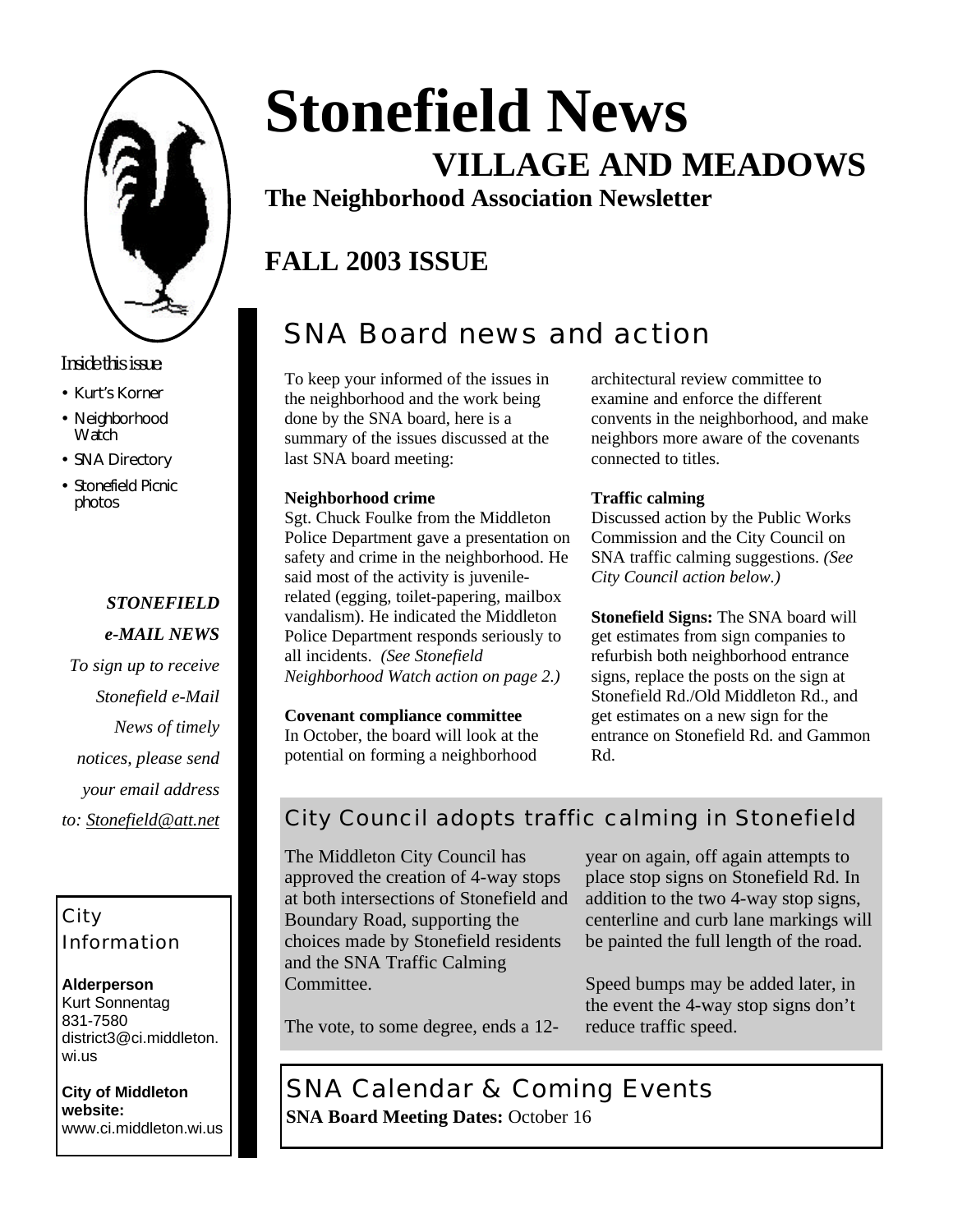

#### *Inside this issue:*

- Kurt's Korner
- Neighborhood **Watch**
- SNA Directory
- Stonefield Picnic photos

### *STONEFIELD*

- *e-MAIL NEWS*
- *To sign up to receive Stonefield e-Mail News of timely notices, please send your email address to: Stonefield@att.net*

#### City Information

#### **Alderperson** Kurt Sonnentag 831-7580 district3@ci.middleton. wi.us

**City of Middleton website:** www.ci.middleton.wi.us

# **Stonefield News VILLAGE AND MEADOWS**

**The Neighborhood Association Newsletter**

## **FALL 2003 ISSUE**

# SNA Board news and action

To keep your informed of the issues in the neighborhood and the work being done by the SNA board, here is a summary of the issues discussed at the last SNA board meeting:

#### **Neighborhood crime**

Sgt. Chuck Foulke from the Middleton Police Department gave a presentation on safety and crime in the neighborhood. He said most of the activity is juvenilerelated (egging, toilet-papering, mailbox vandalism). He indicated the Middleton Police Department responds seriously to all incidents. *(See Stonefield Neighborhood Watch action on page 2.)*

**Covenant compliance committee** In October, the board will look at the

potential on forming a neighborhood

architectural review committee to examine and enforce the different convents in the neighborhood, and make neighbors more aware of the covenants connected to titles.

#### **Traffic calming**

Discussed action by the Public Works Commission and the City Council on SNA traffic calming suggestions. *(See City Council action below.)*

**Stonefield Signs:** The SNA board will get estimates from sign companies to refurbish both neighborhood entrance signs, replace the posts on the sign at Stonefield Rd./Old Middleton Rd., and get estimates on a new sign for the entrance on Stonefield Rd. and Gammon Rd.

### City Council adopts traffic calming in Stonefield

The Middleton City Council has approved the creation of 4-way stops at both intersections of Stonefield and Boundary Road, supporting the choices made by Stonefield residents and the SNA Traffic Calming Committee.

year on again, off again attempts to place stop signs on Stonefield Rd. In addition to the two 4-way stop signs, centerline and curb lane markings will be painted the full length of the road.

Speed bumps may be added later, in the event the 4-way stop signs don't reduce traffic speed.

The vote, to some degree, ends a 12-

SNA Calendar & Coming Events **SNA Board Meeting Dates:** October 16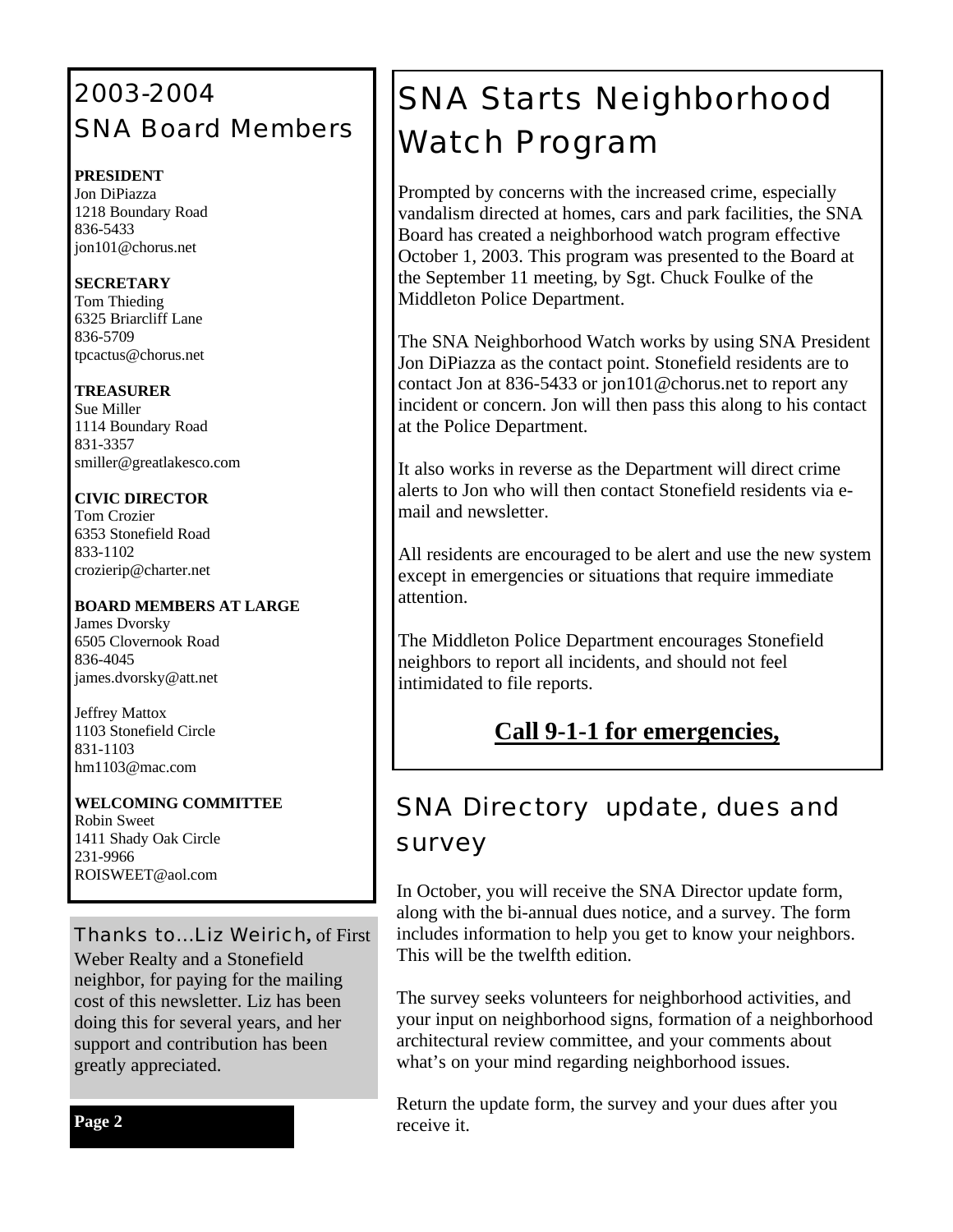### 2003-2004 SNA Board Members

#### **PRESIDENT**

Jon DiPiazza 1218 Boundary Road 836-5433 jon101@chorus.net

#### **SECRETARY**

Tom Thieding 6325 Briarcliff Lane 836-5709 tpcactus@chorus.net

#### **TREASURER**

Sue Miller 1114 Boundary Road 831-3357 smiller@greatlakesco.com

#### **CIVIC DIRECTOR**

Tom Crozier 6353 Stonefield Road 833-1102 crozierip@charter.net

#### **BOARD MEMBERS AT LARGE**

James Dvorsky 6505 Clovernook Road 836-4045 james.dvorsky@att.net

Jeffrey Mattox 1103 Stonefield Circle 831-1103 hm1103@mac.com

#### **WELCOMING COMMITTEE**

Robin Sweet 1411 Shady Oak Circle 231-9966 ROISWEET@aol.com

Thanks to…Liz Weirich**,** of First Weber Realty and a Stonefield neighbor, for paying for the mailing cost of this newsletter. Liz has been doing this for several years, and her support and contribution has been greatly appreciated.

**Page 2**

# SNA Starts Neighborhood Watch Program

Prompted by concerns with the increased crime, especially vandalism directed at homes, cars and park facilities, the SNA Board has created a neighborhood watch program effective October 1, 2003. This program was presented to the Board at the September 11 meeting, by Sgt. Chuck Foulke of the Middleton Police Department.

The SNA Neighborhood Watch works by using SNA President Jon DiPiazza as the contact point. Stonefield residents are to contact Jon at 836-5433 or jon101@chorus.net to report any incident or concern. Jon will then pass this along to his contact at the Police Department.

It also works in reverse as the Department will direct crime alerts to Jon who will then contact Stonefield residents via email and newsletter.

All residents are encouraged to be alert and use the new system except in emergencies or situations that require immediate attention.

The Middleton Police Department encourages Stonefield neighbors to report all incidents, and should not feel intimidated to file reports.

### **Call 9-1-1 for emergencies,**

### SNA Directory update, dues and survey

In October, you will receive the SNA Director update form, along with the bi-annual dues notice, and a survey. The form includes information to help you get to know your neighbors. This will be the twelfth edition.

The survey seeks volunteers for neighborhood activities, and your input on neighborhood signs, formation of a neighborhood architectural review committee, and your comments about what's on your mind regarding neighborhood issues.

Return the update form, the survey and your dues after you receive it.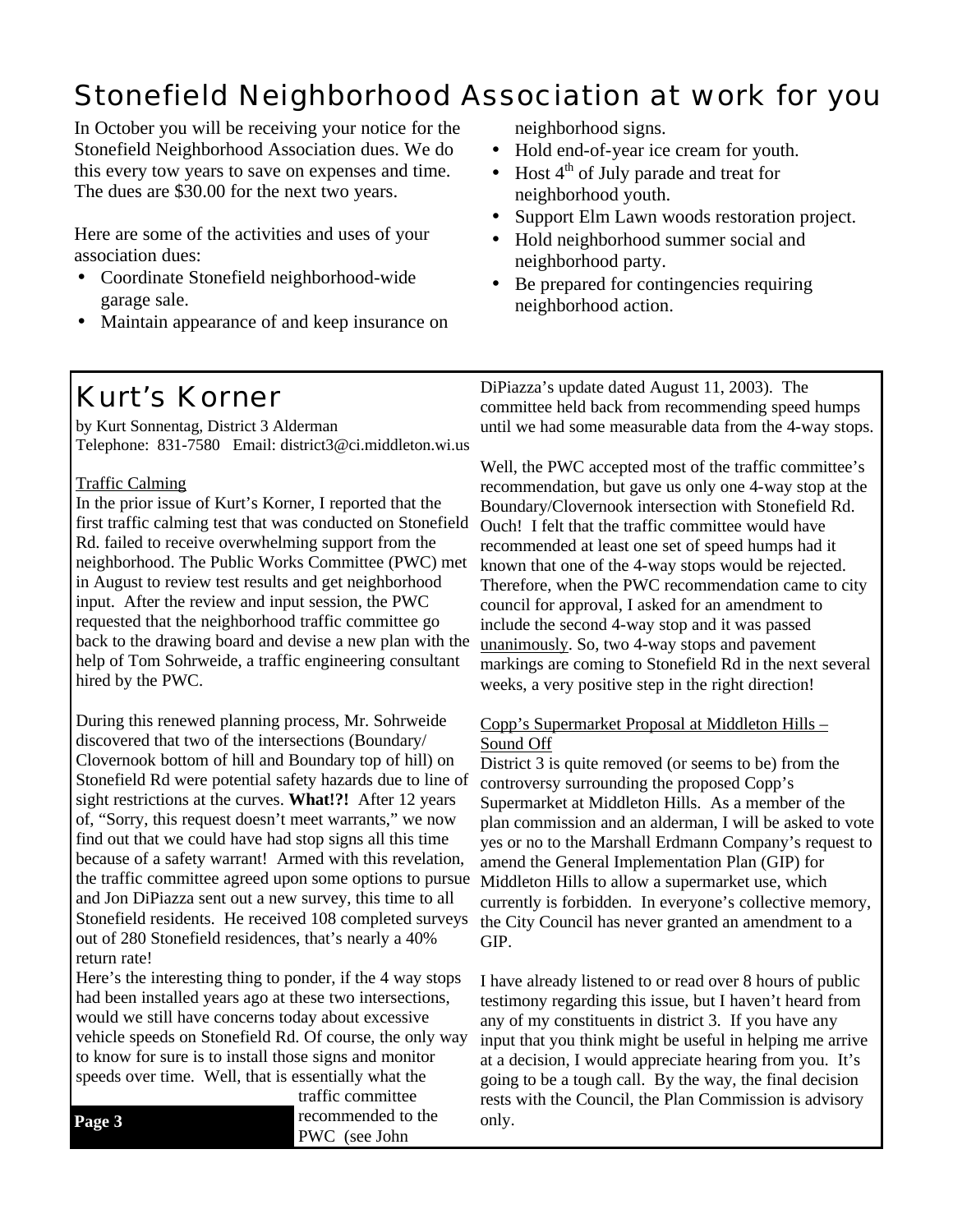# Stonefield Neighborhood Association at work for you

In October you will be receiving your notice for the Stonefield Neighborhood Association dues. We do this every tow years to save on expenses and time. The dues are \$30.00 for the next two years.

Here are some of the activities and uses of your association dues:

- Coordinate Stonefield neighborhood-wide garage sale.
- Maintain appearance of and keep insurance on

neighborhood signs.

- Hold end-of-year ice cream for youth.
- Host  $4<sup>th</sup>$  of July parade and treat for neighborhood youth.
- Support Elm Lawn woods restoration project.
- Hold neighborhood summer social and neighborhood party.
- Be prepared for contingencies requiring neighborhood action.

# *Kurt's Korner*

by Kurt Sonnentag, District 3 Alderman Telephone: 831-7580 Email: district3@ci.middleton.wi.us

#### Traffic Calming

In the prior issue of Kurt's Korner, I reported that the first traffic calming test that was conducted on Stonefield Rd. failed to receive overwhelming support from the neighborhood. The Public Works Committee (PWC) met in August to review test results and get neighborhood input. After the review and input session, the PWC requested that the neighborhood traffic committee go back to the drawing board and devise a new plan with the help of Tom Sohrweide, a traffic engineering consultant hired by the PWC.

During this renewed planning process, Mr. Sohrweide discovered that two of the intersections (Boundary/ Clovernook bottom of hill and Boundary top of hill) on Stonefield Rd were potential safety hazards due to line of sight restrictions at the curves. **What!?!** After 12 years of, "Sorry, this request doesn't meet warrants," we now find out that we could have had stop signs all this time because of a safety warrant! Armed with this revelation, the traffic committee agreed upon some options to pursue and Jon DiPiazza sent out a new survey, this time to all Stonefield residents. He received 108 completed surveys out of 280 Stonefield residences, that's nearly a 40% return rate!

Here's the interesting thing to ponder, if the 4 way stops had been installed years ago at these two intersections, would we still have concerns today about excessive vehicle speeds on Stonefield Rd. Of course, the only way to know for sure is to install those signs and monitor speeds over time. Well, that is essentially what the

traffic committee **Page 3** recommended to the only. PWC (see John

DiPiazza's update dated August 11, 2003). The committee held back from recommending speed humps until we had some measurable data from the 4-way stops.

Well, the PWC accepted most of the traffic committee's recommendation, but gave us only one 4-way stop at the Boundary/Clovernook intersection with Stonefield Rd. Ouch! I felt that the traffic committee would have recommended at least one set of speed humps had it known that one of the 4-way stops would be rejected. Therefore, when the PWC recommendation came to city council for approval, I asked for an amendment to include the second 4-way stop and it was passed unanimously. So, two 4-way stops and pavement markings are coming to Stonefield Rd in the next several weeks, a very positive step in the right direction!

#### Copp's Supermarket Proposal at Middleton Hills – Sound Off

District 3 is quite removed (or seems to be) from the controversy surrounding the proposed Copp's Supermarket at Middleton Hills. As a member of the plan commission and an alderman, I will be asked to vote yes or no to the Marshall Erdmann Company's request to amend the General Implementation Plan (GIP) for Middleton Hills to allow a supermarket use, which currently is forbidden. In everyone's collective memory, the City Council has never granted an amendment to a GIP.

I have already listened to or read over 8 hours of public testimony regarding this issue, but I haven't heard from any of my constituents in district 3. If you have any input that you think might be useful in helping me arrive at a decision, I would appreciate hearing from you. It's going to be a tough call. By the way, the final decision rests with the Council, the Plan Commission is advisory